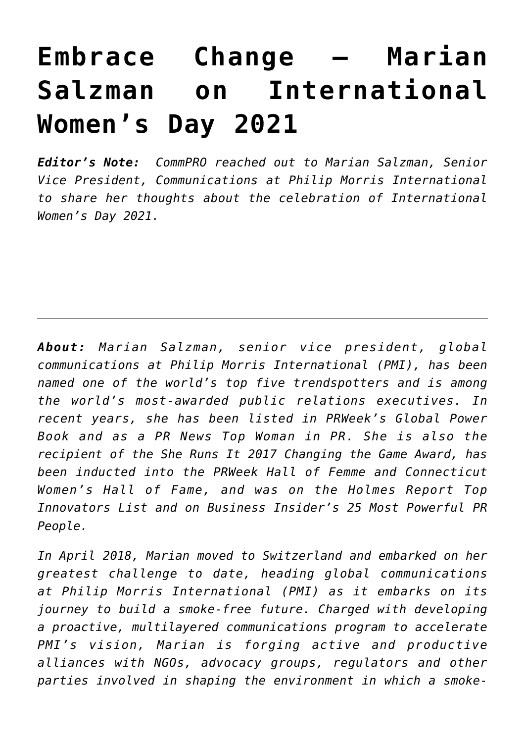## **[Embrace Change – Marian](https://www.commpro.biz/embrace-change-marian-salzman-on-international-womens-day-2021/) [Salzman on International](https://www.commpro.biz/embrace-change-marian-salzman-on-international-womens-day-2021/) [Women's Day 2021](https://www.commpro.biz/embrace-change-marian-salzman-on-international-womens-day-2021/)**

*Editor's Note: [CommPRO](https://www.commpro.biz/) reached out to Marian Salzman, Senior Vice President, Communications at Philip Morris International to share her thoughts about the celebration of International Women's Day 2021.*

*About: Marian Salzman, senior vice president, global communications at Philip Morris International (PMI), has been named one of the world's top five trendspotters and is among the world's [most-awarded](https://mariansalzman.com/awards/) public relations executives. In recent years, she has been listed in PRWeek's Global Power Book and as a PR News Top Woman in PR. She is also the recipient of the She Runs It 2017 Changing the Game Award, has been inducted into the PRWeek Hall of Femme and Connecticut Women's Hall of Fame, and was on the Holmes Report Top Innovators List and on Business Insider's 25 Most Powerful PR People.*

*In April 2018, Marian moved to Switzerland and embarked on her greatest challenge to date, heading global communications at [Philip Morris International](https://www.pmi.com/) (PMI) as it embarks on its journey to build a smoke-free future. Charged with developing a proactive, multilayered communications program to accelerate PMI's vision, Marian is forging active and productive alliances with NGOs, advocacy groups, regulators and other parties involved in shaping the environment in which a smoke-*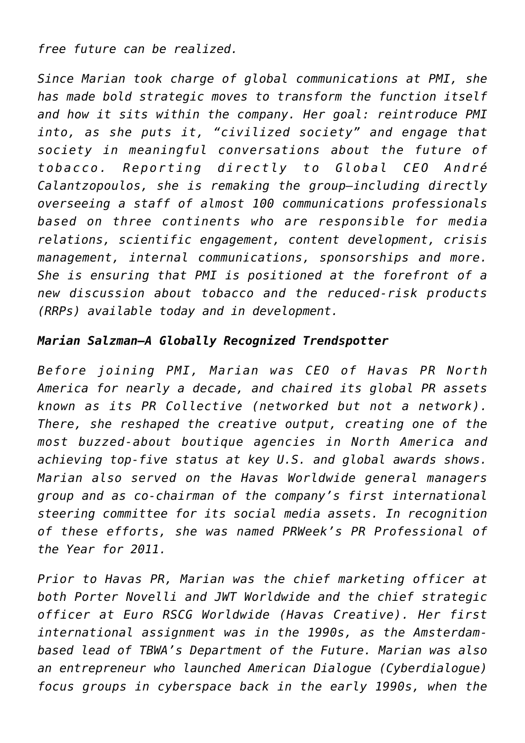*free future can be realized.*

*Since Marian took charge of global communications at PMI, she has made bold strategic moves to transform the function itself and how it sits within the company. Her goal: reintroduce PMI into, as she puts it, "civilized society" and engage that society in meaningful conversations about the future of tobacco. Reporting directly to Global CEO André Calantzopoulos, she is remaking the group—including directly overseeing a staff of almost 100 communications professionals based on three continents who are responsible for media relations, scientific engagement, content development, crisis management, internal communications, sponsorships and more. She is ensuring that PMI is positioned at the forefront of a new discussion about tobacco and the reduced-risk products (RRPs) available today and in development.*

## *Marian Salzman—A Globally Recognized Trendspotter*

*Before joining PMI, Marian was CEO of [Havas PR North](https://redhavas.com/) [America](https://redhavas.com/) for nearly a decade, and chaired its global PR assets known as its PR Collective (networked but not a network). There, she reshaped the creative output, creating one of the most buzzed-about boutique agencies in North America and achieving top-five status at key U.S. and global awards shows. Marian also served on the Havas Worldwide general managers group and as co-chairman of the company's first international steering committee for its social media assets. In recognition of these efforts, she was named PRWeek's PR Professional of the Year for 2011.*

*Prior to Havas PR, Marian was the chief marketing officer at both Porter Novelli and JWT Worldwide and the chief strategic officer at Euro RSCG Worldwide (Havas Creative). Her first international assignment was in the 1990s, as the Amsterdambased lead of TBWA's Department of the Future. Marian was also an entrepreneur who launched American Dialogue (Cyberdialogue) focus groups in cyberspace back in the early 1990s, when the*